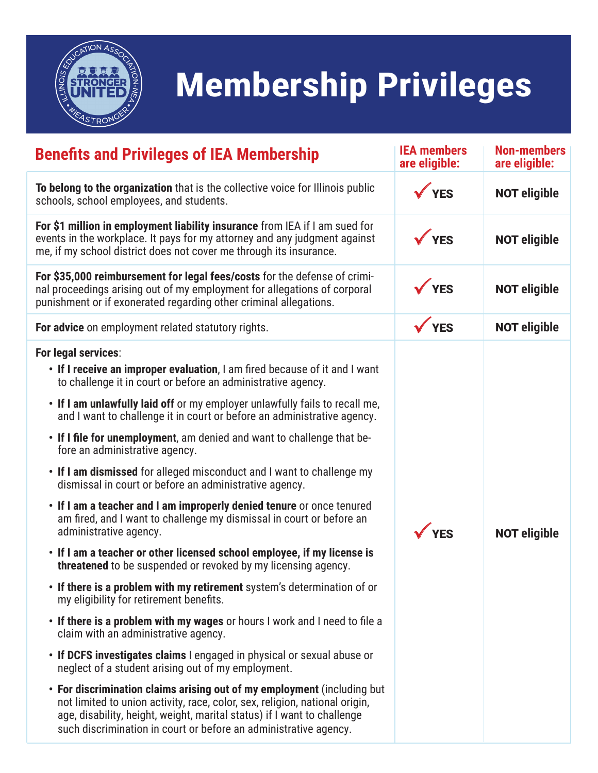

## **Membership Privileges**

| <b>Benefits and Privileges of IEA Membership</b>                                                                                                                                                                                                                                                      | <b>IEA members</b><br>are eligible: | <b>Non-members</b><br>are eligible: |
|-------------------------------------------------------------------------------------------------------------------------------------------------------------------------------------------------------------------------------------------------------------------------------------------------------|-------------------------------------|-------------------------------------|
| To belong to the organization that is the collective voice for Illinois public<br>schools, school employees, and students.                                                                                                                                                                            | VES                                 | <b>NOT eligible</b>                 |
| For \$1 million in employment liability insurance from IEA if I am sued for<br>events in the workplace. It pays for my attorney and any judgment against<br>me, if my school district does not cover me through its insurance.                                                                        | $\sqrt{YES}$                        | <b>NOT eligible</b>                 |
| For \$35,000 reimbursement for legal fees/costs for the defense of crimi-<br>nal proceedings arising out of my employment for allegations of corporal<br>punishment or if exonerated regarding other criminal allegations.                                                                            | <b>YES</b>                          | <b>NOT eligible</b>                 |
| For advice on employment related statutory rights.                                                                                                                                                                                                                                                    | $\sqrt{YES}$                        | <b>NOT eligible</b>                 |
| For legal services:<br>• If I receive an improper evaluation, I am fired because of it and I want<br>to challenge it in court or before an administrative agency.                                                                                                                                     |                                     |                                     |
| • If I am unlawfully laid off or my employer unlawfully fails to recall me,<br>and I want to challenge it in court or before an administrative agency.                                                                                                                                                |                                     |                                     |
| • If I file for unemployment, am denied and want to challenge that be-<br>fore an administrative agency.                                                                                                                                                                                              |                                     |                                     |
| . If I am dismissed for alleged misconduct and I want to challenge my<br>dismissal in court or before an administrative agency.                                                                                                                                                                       |                                     |                                     |
| . If I am a teacher and I am improperly denied tenure or once tenured<br>am fired, and I want to challenge my dismissal in court or before an<br>administrative agency.                                                                                                                               | <b>YES</b>                          | <b>NOT eligible</b>                 |
| • If I am a teacher or other licensed school employee, if my license is<br>threatened to be suspended or revoked by my licensing agency.                                                                                                                                                              |                                     |                                     |
| • If there is a problem with my retirement system's determination of or<br>my eligibility for retirement benefits.                                                                                                                                                                                    |                                     |                                     |
| • If there is a problem with my wages or hours I work and I need to file a<br>claim with an administrative agency.                                                                                                                                                                                    |                                     |                                     |
| • If DCFS investigates claims I engaged in physical or sexual abuse or<br>neglect of a student arising out of my employment.                                                                                                                                                                          |                                     |                                     |
| • For discrimination claims arising out of my employment (including but<br>not limited to union activity, race, color, sex, religion, national origin,<br>age, disability, height, weight, marital status) if I want to challenge<br>such discrimination in court or before an administrative agency. |                                     |                                     |